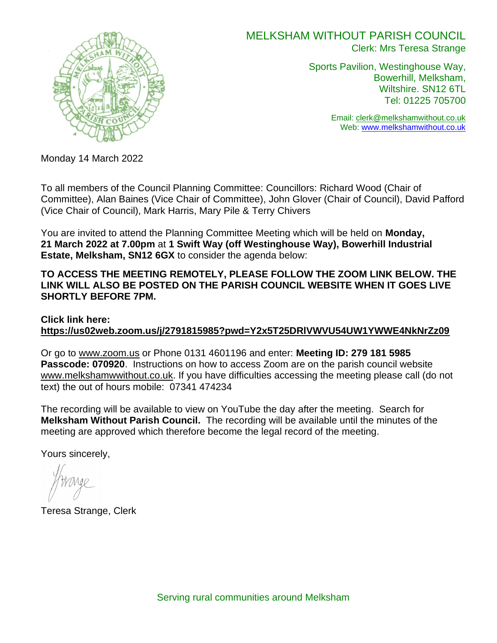

## MELKSHAM WITHOUT PARISH COUNCIL Clerk: Mrs Teresa Strange

Sports Pavilion, Westinghouse Way, Bowerhill, Melksham, Wiltshire. SN12 6TL Tel: 01225 705700

> Email: [clerk@melkshamwithout.co.uk](mailto:clerk@melkshamwithout.co.uk) Web: [www.melkshamwithout.co.uk](http://www.melkshamwithout.co.uk/)

Monday 14 March 2022

To all members of the Council Planning Committee: Councillors: Richard Wood (Chair of Committee), Alan Baines (Vice Chair of Committee), John Glover (Chair of Council), David Pafford (Vice Chair of Council), Mark Harris, Mary Pile & Terry Chivers

You are invited to attend the Planning Committee Meeting which will be held on **Monday, 21 March 2022 at 7.00pm** at **1 Swift Way (off Westinghouse Way), Bowerhill Industrial Estate, Melksham, SN12 6GX** to consider the agenda below:

**TO ACCESS THE MEETING REMOTELY, PLEASE FOLLOW THE ZOOM LINK BELOW. THE LINK WILL ALSO BE POSTED ON THE PARISH COUNCIL WEBSITE WHEN IT GOES LIVE SHORTLY BEFORE 7PM.** 

**Click link here: <https://us02web.zoom.us/j/2791815985?pwd=Y2x5T25DRlVWVU54UW1YWWE4NkNrZz09>**

Or go to [www.zoom.us](http://www.zoom.us/) or Phone 0131 4601196 and enter: **Meeting ID: 279 181 5985 Passcode: 070920**. Instructions on how to access Zoom are on the parish council website [www.melkshamwwithout.co.uk.](http://www.melkshamwwithout.co.uk/) If you have difficulties accessing the meeting please call (do not text) the out of hours mobile: 07341 474234

The recording will be available to view on YouTube the day after the meeting. Search for **Melksham Without Parish Council.** The recording will be available until the minutes of the meeting are approved which therefore become the legal record of the meeting.

Yours sincerely,

Teresa Strange, Clerk

Serving rural communities around Melksham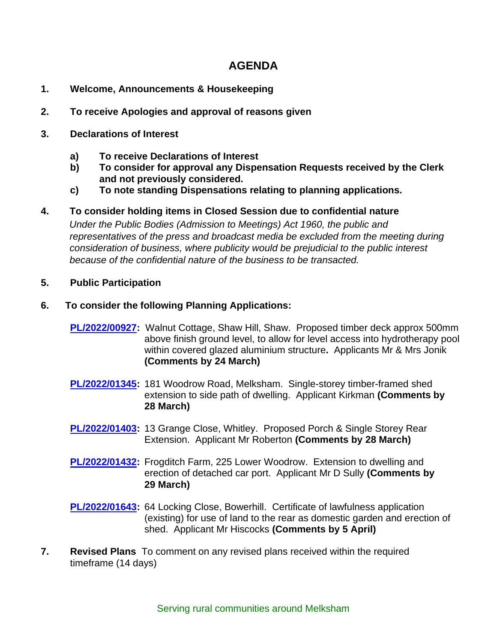# **AGENDA**

- **1. Welcome, Announcements & Housekeeping**
- **2. To receive Apologies and approval of reasons given**
- **3. Declarations of Interest**
	- **a) To receive Declarations of Interest**
	- **b) To consider for approval any Dispensation Requests received by the Clerk and not previously considered.**
	- **c) To note standing Dispensations relating to planning applications.**
- **4. To consider holding items in Closed Session due to confidential nature**

 *Under the Public Bodies (Admission to Meetings) Act 1960, the public and representatives of the press and broadcast media be excluded from the meeting during consideration of business, where publicity would be prejudicial to the public interest because of the confidential nature of the business to be transacted.*

- **5. Public Participation**
- **6. To consider the following Planning Applications:** 
	- **[PL/2022/00927:](https://development.wiltshire.gov.uk/pr/s/planning-application/a0i3z000017RruUAAS/pl202200927)** Walnut Cottage, Shaw Hill, Shaw. Proposed timber deck approx 500mm above finish ground level, to allow for level access into hydrotherapy pool within covered glazed aluminium structure**.** Applicants Mr & Mrs Jonik **(Comments by 24 March)**
	- **[PL/2022/01345:](https://development.wiltshire.gov.uk/pr/s/planning-application/a0i3z000017SDDnAAO/pl202201345)** 181 Woodrow Road, Melksham. Single-storey timber-framed shed extension to side path of dwelling. Applicant Kirkman **(Comments by 28 March)**
	- **[PL/2022/01403:](https://development.wiltshire.gov.uk/pr/s/planning-application/a0i3z000017SXAaAAO/pl202201403)** 13 Grange Close, Whitley. Proposed Porch & Single Storey Rear Extension. Applicant Mr Roberton **(Comments by 28 March)**
	- **[PL/2022/01432:](https://development.wiltshire.gov.uk/pr/s/planning-application/a0i3z000017Sm6PAAS/pl202201432)** Frogditch Farm, 225 Lower Woodrow. Extension to dwelling and erection of detached car port. Applicant Mr D Sully **(Comments by 29 March)**
	- **[PL/2022/01643:](https://development.wiltshire.gov.uk/pr/s/planning-application/a0i3z000017T5vCAAS/pl202201643)** 64 Locking Close, Bowerhill. Certificate of lawfulness application (existing) for use of land to the rear as domestic garden and erection of shed. Applicant Mr Hiscocks **(Comments by 5 April)**
- **7. Revised Plans** To comment on any revised plans received within the required timeframe (14 days)